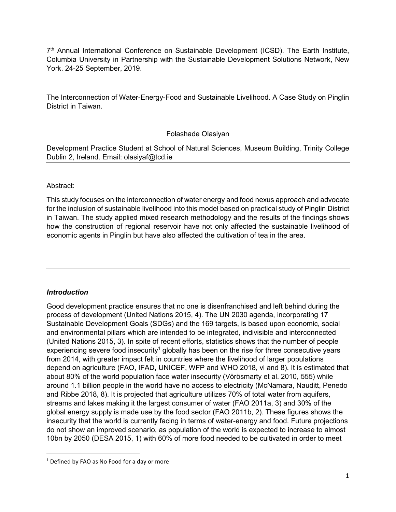7<sup>th</sup> Annual International Conference on Sustainable Development (ICSD). The Earth Institute, Columbia University in Partnership with the Sustainable Development Solutions Network, New York. 24-25 September, 2019.

The Interconnection of Water-Energy-Food and Sustainable Livelihood. A Case Study on Pinglin District in Taiwan.

## Folashade Olasiyan

Development Practice Student at School of Natural Sciences, Museum Building, Trinity College Dublin 2, Ireland. Email: olasiyaf@tcd.ie

## Abstract:

This study focuses on the interconnection of water energy and food nexus approach and advocate for the inclusion of sustainable livelihood into this model based on practical study of Pinglin District in Taiwan. The study applied mixed research methodology and the results of the findings shows how the construction of regional reservoir have not only affected the sustainable livelihood of economic agents in Pinglin but have also affected the cultivation of tea in the area.

## *Introduction*

.<br>-

Good development practice ensures that no one is disenfranchised and left behind during the process of development (United Nations 2015, 4). The UN 2030 agenda, incorporating 17 Sustainable Development Goals (SDGs) and the 169 targets, is based upon economic, social and environmental pillars which are intended to be integrated, indivisible and interconnected (United Nations 2015, 3). In spite of recent efforts, statistics shows that the number of people experiencing severe food insecurity<sup>1</sup> globally has been on the rise for three consecutive years from 2014, with greater impact felt in countries where the livelihood of larger populations depend on agriculture (FAO, IFAD, UNICEF, WFP and WHO 2018, vi and 8). It is estimated that about 80% of the world population face water insecurity (Vörösmarty et al. 2010, 555) while around 1.1 billion people in the world have no access to electricity (McNamara, Nauditt, Penedo and Ribbe 2018, 8). It is projected that agriculture utilizes 70% of total water from aquifers, streams and lakes making it the largest consumer of water (FAO 2011a, 3) and 30% of the global energy supply is made use by the food sector (FAO 2011b, 2). These figures shows the insecurity that the world is currently facing in terms of water-energy and food. Future projections do not show an improved scenario, as population of the world is expected to increase to almost 10bn by 2050 (DESA 2015, 1) with 60% of more food needed to be cultivated in order to meet

 $1$  Defined by FAO as No Food for a day or more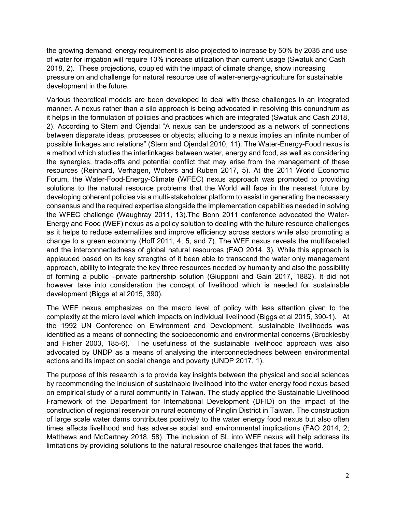the growing demand; energy requirement is also projected to increase by 50% by 2035 and use of water for irrigation will require 10% increase utilization than current usage (Swatuk and Cash 2018, 2). These projections, coupled with the impact of climate change, show increasing pressure on and challenge for natural resource use of water-energy-agriculture for sustainable development in the future.

Various theoretical models are been developed to deal with these challenges in an integrated manner. A nexus rather than a silo approach is being advocated in resolving this conundrum as it helps in the formulation of policies and practices which are integrated (Swatuk and Cash 2018, 2). According to Stern and Ojendal "A nexus can be understood as a network of connections between disparate ideas, processes or objects; alluding to a nexus implies an infinite number of possible linkages and relations" (Stern and Ojendal 2010, 11). The Water-Energy-Food nexus is a method which studies the interlinkages between water, energy and food, as well as considering the synergies, trade-offs and potential conflict that may arise from the management of these resources (Reinhard, Verhagen, Wolters and Ruben 2017, 5). At the 2011 World Economic Forum, the Water-Food-Energy-Climate (WFEC) nexus approach was promoted to providing solutions to the natural resource problems that the World will face in the nearest future by developing coherent policies via a multi-stakeholder platform to assist in generating the necessary consensus and the required expertise alongside the implementation capabilities needed in solving the WFEC challenge (Waughray 2011, 13).The Bonn 2011 conference advocated the Water-Energy and Food (WEF) nexus as a policy solution to dealing with the future resource challenges as it helps to reduce externalities and improve efficiency across sectors while also promoting a change to a green economy (Hoff 2011, 4, 5, and 7). The WEF nexus reveals the multifaceted and the interconnectedness of global natural resources (FAO 2014, 3). While this approach is applauded based on its key strengths of it been able to transcend the water only management approach, ability to integrate the key three resources needed by humanity and also the possibility of forming a public –private partnership solution (Giupponi and Gain 2017, 1882). It did not however take into consideration the concept of livelihood which is needed for sustainable development (Biggs et al 2015, 390).

The WEF nexus emphasizes on the macro level of policy with less attention given to the complexity at the micro level which impacts on individual livelihood (Biggs et al 2015, 390-1). At the 1992 UN Conference on Environment and Development, sustainable livelihoods was identified as a means of connecting the socioeconomic and environmental concerns (Brocklesby and Fisher 2003, 185-6). The usefulness of the sustainable livelihood approach was also advocated by UNDP as a means of analysing the interconnectedness between environmental actions and its impact on social change and poverty (UNDP 2017, 1).

The purpose of this research is to provide key insights between the physical and social sciences by recommending the inclusion of sustainable livelihood into the water energy food nexus based on empirical study of a rural community in Taiwan. The study applied the Sustainable Livelihood Framework of the Department for International Development (DFID) on the impact of the construction of regional reservoir on rural economy of Pinglin District in Taiwan. The construction of large scale water dams contributes positively to the water energy food nexus but also often times affects livelihood and has adverse social and environmental implications (FAO 2014, 2; Matthews and McCartney 2018, 58). The inclusion of SL into WEF nexus will help address its limitations by providing solutions to the natural resource challenges that faces the world.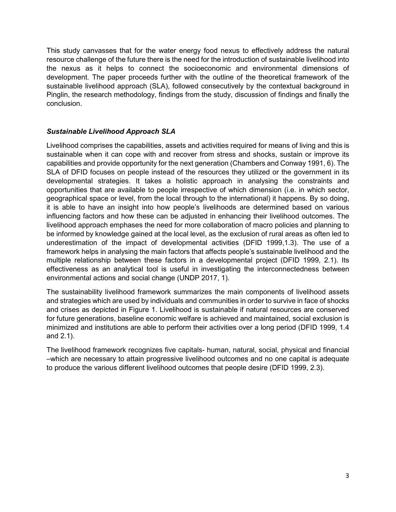This study canvasses that for the water energy food nexus to effectively address the natural resource challenge of the future there is the need for the introduction of sustainable livelihood into the nexus as it helps to connect the socioeconomic and environmental dimensions of development. The paper proceeds further with the outline of the theoretical framework of the sustainable livelihood approach (SLA), followed consecutively by the contextual background in Pinglin, the research methodology, findings from the study, discussion of findings and finally the conclusion.

# *Sustainable Livelihood Approach SLA*

Livelihood comprises the capabilities, assets and activities required for means of living and this is sustainable when it can cope with and recover from stress and shocks, sustain or improve its capabilities and provide opportunity for the next generation (Chambers and Conway 1991, 6). The SLA of DFID focuses on people instead of the resources they utilized or the government in its developmental strategies. It takes a holistic approach in analysing the constraints and opportunities that are available to people irrespective of which dimension (i.e. in which sector, geographical space or level, from the local through to the international) it happens. By so doing, it is able to have an insight into how people's livelihoods are determined based on various influencing factors and how these can be adjusted in enhancing their livelihood outcomes. The livelihood approach emphases the need for more collaboration of macro policies and planning to be informed by knowledge gained at the local level, as the exclusion of rural areas as often led to underestimation of the impact of developmental activities (DFID 1999,1.3). The use of a framework helps in analysing the main factors that affects people's sustainable livelihood and the multiple relationship between these factors in a developmental project (DFID 1999, 2.1). Its effectiveness as an analytical tool is useful in investigating the interconnectedness between environmental actions and social change (UNDP 2017, 1).

The sustainability livelihood framework summarizes the main components of livelihood assets and strategies which are used by individuals and communities in order to survive in face of shocks and crises as depicted in Figure 1. Livelihood is sustainable if natural resources are conserved for future generations, baseline economic welfare is achieved and maintained, social exclusion is minimized and institutions are able to perform their activities over a long period (DFID 1999, 1.4 and 2.1).

The livelihood framework recognizes five capitals- human, natural, social, physical and financial –which are necessary to attain progressive livelihood outcomes and no one capital is adequate to produce the various different livelihood outcomes that people desire (DFID 1999, 2.3).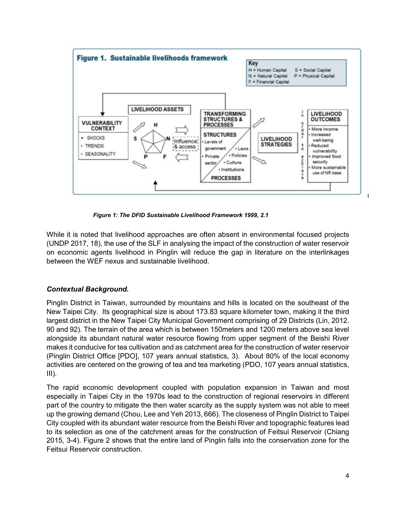

*Figure 1: The DFID Sustainable Livelihood Framework 1999, 2.1*

While it is noted that livelihood approaches are often absent in environmental focused projects (UNDP 2017, 18), the use of the SLF in analysing the impact of the construction of water reservoir on economic agents livelihood in Pinglin will reduce the gap in literature on the interlinkages between the WEF nexus and sustainable livelihood.

## *Contextual Background.*

Pinglin District in Taiwan, surrounded by mountains and hills is located on the southeast of the New Taipei City. Its geographical size is about 173.83 square kilometer town, making it the third largest district in the New Taipei City Municipal Government comprising of 29 Districts (Lin, 2012. 90 and 92). The terrain of the area which is between 150meters and 1200 meters above sea level alongside its abundant natural water resource flowing from upper segment of the Beishi River makes it conducive for tea cultivation and as catchment area for the construction of water reservoir (Pinglin District Office [PDO], 107 years annual statistics, 3). About 80% of the local economy activities are centered on the growing of tea and tea marketing (PDO, 107 years annual statistics,  $III$ ).

The rapid economic development coupled with population expansion in Taiwan and most especially in Taipei City in the 1970s lead to the construction of regional reservoirs in different part of the country to mitigate the then water scarcity as the supply system was not able to meet up the growing demand (Chou, Lee and Yeh 2013, 666). The closeness of Pinglin District to Taipei City coupled with its abundant water resource from the Beishi River and topographic features lead to its selection as one of the catchment areas for the construction of Feitsui Reservoir (Chiang 2015, 3-4). Figure 2 shows that the entire land of Pinglin falls into the conservation zone for the Feitsui Reservoir construction.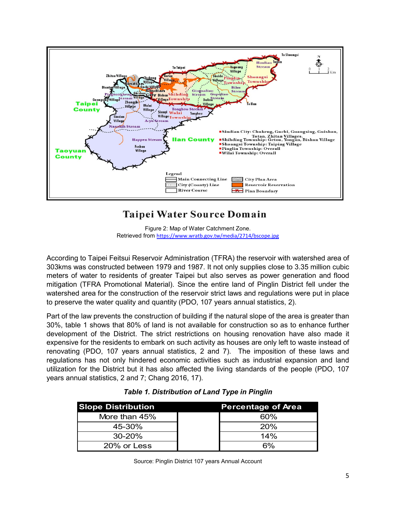

# Taipei Water Source Domain

Figure 2: Map of Water Catchment Zone. Retrieved from https://www.wratb.gov.tw/media/2714/bscope.jpg

According to Taipei Feitsui Reservoir Administration (TFRA) the reservoir with watershed area of 303kms was constructed between 1979 and 1987. It not only supplies close to 3.35 million cubic meters of water to residents of greater Taipei but also serves as power generation and flood mitigation (TFRA Promotional Material). Since the entire land of Pinglin District fell under the watershed area for the construction of the reservoir strict laws and regulations were put in place to preserve the water quality and quantity (PDO, 107 years annual statistics, 2).

Part of the law prevents the construction of building if the natural slope of the area is greater than 30%, table 1 shows that 80% of land is not available for construction so as to enhance further development of the District. The strict restrictions on housing renovation have also made it expensive for the residents to embark on such activity as houses are only left to waste instead of renovating (PDO, 107 years annual statistics, 2 and 7). The imposition of these laws and regulations has not only hindered economic activities such as industrial expansion and land utilization for the District but it has also affected the living standards of the people (PDO, 107 years annual statistics, 2 and 7; Chang 2016, 17).

| <b>Slope Distribution</b> | <b>Percentage of Area</b> |
|---------------------------|---------------------------|
| More than 45%             | 60%                       |
| 45-30%                    | 20%                       |
| $30 - 20%$                | 14%                       |
| 20% or Less               | 6%                        |

# *Table 1. Distribution of Land Type in Pinglin*

Source: Pinglin District 107 years Annual Account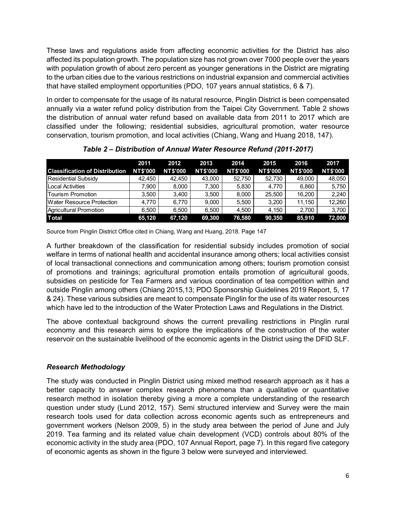These laws and regulations aside from affecting economic activities for the District has also affected its population growth. The population size has not grown over 7000 people over the years with population growth of about zero percent as younger generations in the District are migrating to the urban cities due to the various restrictions on industrial expansion and commercial activities that have stalled employment opportunities (PDO, 107 years annual statistics, 6 & 7).

In order to compensate for the usage of its natural resource, Pinglin District is been compensated annually via a water refund policy distribution from the Taipei City Government. Table 2 shows the distribution of annual water refund based on available data from 2011 to 2017 which are classified under the following; residential subsidies, agricultural promotion, water resource conservation, tourism promotion, and local activities (Chiang, Wang and Huang 2018, 147).

|                                       | 2011            | 2012            | 2013            | 2014            | 2015            | 2016            | 2017            |
|---------------------------------------|-----------------|-----------------|-----------------|-----------------|-----------------|-----------------|-----------------|
| <b>Classification of Distribution</b> | <b>NT\$'000</b> | <b>NT\$'000</b> | <b>NT\$'000</b> | <b>NT\$'000</b> | <b>NT\$'000</b> | <b>NT\$'000</b> | <b>NT\$'000</b> |
| <b>Residential Subsidy</b>            | 42.450          | 42.450          | 43,000          | 52.750          | 52.730          | 49,000          | 48,050          |
| <b>Local Activities</b>               | 7.900           | 8.000           | 7.300           | 5.830           | 4.770           | 6.860           | 5,750           |
| Tourism Promotion                     | 3.500           | 3.400           | 3.500           | 8.000           | 25.500          | 16.200          | 2,240           |
| Water Resource Protection             | 4.770           | 6.770           | 9.000           | 5.500           | 3.200           | 11.150          | 12.260          |
| Agricultural Promotion                | 6.500           | 6.500           | 6.500           | 4.500           | 4.150           | 2.700           | 3.700           |
| <b>Total</b>                          | 65,120          | 67,120          | 69,300          | 76,580          | 90,350          | 85,910          | 72,000          |

*Table 2 – Distribution of Annual Water Resource Refund (2011-2017)* 

Source from Pinglin District Office cited in Chiang, Wang and Huang, 2018. Page 147

A further breakdown of the classification for residential subsidy includes promotion of social welfare in terms of national health and accidental insurance among others; local activities consist of local transactional connections and communication among others; tourism promotion consist of promotions and trainings; agricultural promotion entails promotion of agricultural goods, subsidies on pesticide for Tea Farmers and various coordination of tea competition within and outside Pinglin among others (Chiang 2015,13; PDO Sponsorship Guidelines 2019 Report, 5, 17 & 24). These various subsidies are meant to compensate Pinglin for the use of its water resources which have led to the introduction of the Water Protection Laws and Regulations in the District.

The above contextual background shows the current prevailing restrictions in Pinglin rural economy and this research aims to explore the implications of the construction of the water reservoir on the sustainable livelihood of the economic agents in the District using the DFID SLF.

# *Research Methodology*

The study was conducted in Pinglin District using mixed method research approach as it has a better capacity to answer complex research phenomena than a qualitative or quantitative research method in isolation thereby giving a more a complete understanding of the research question under study (Lund 2012, 157). Semi structured interview and Survey were the main research tools used for data collection across economic agents such as entrepreneurs and government workers (Nelson 2009, 5) in the study area between the period of June and July 2019. Tea farming and its related value chain development (VCD) controls about 80% of the economic activity in the study area (PDO, 107 Annual Report, page 7). In this regard five category of economic agents as shown in the figure 3 below were surveyed and interviewed.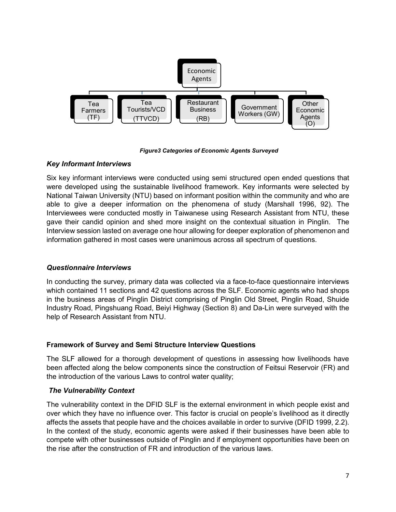

*Figure3 Categories of Economic Agents Surveyed* 

# *Key Informant Interviews*

Six key informant interviews were conducted using semi structured open ended questions that were developed using the sustainable livelihood framework. Key informants were selected by National Taiwan University (NTU) based on informant position within the community and who are able to give a deeper information on the phenomena of study (Marshall 1996, 92). The Interviewees were conducted mostly in Taiwanese using Research Assistant from NTU, these gave their candid opinion and shed more insight on the contextual situation in Pinglin. The Interview session lasted on average one hour allowing for deeper exploration of phenomenon and information gathered in most cases were unanimous across all spectrum of questions.

# *Questionnaire Interviews*

In conducting the survey, primary data was collected via a face-to-face questionnaire interviews which contained 11 sections and 42 questions across the SLF. Economic agents who had shops in the business areas of Pinglin District comprising of Pinglin Old Street, Pinglin Road, Shuide Industry Road, Pingshuang Road, Beiyi Highway (Section 8) and Da-Lin were surveyed with the help of Research Assistant from NTU.

# **Framework of Survey and Semi Structure Interview Questions**

The SLF allowed for a thorough development of questions in assessing how livelihoods have been affected along the below components since the construction of Feitsui Reservoir (FR) and the introduction of the various Laws to control water quality;

# *The Vulnerability Context*

The vulnerability context in the DFID SLF is the external environment in which people exist and over which they have no influence over. This factor is crucial on people's livelihood as it directly affects the assets that people have and the choices available in order to survive (DFID 1999, 2.2). In the context of the study, economic agents were asked if their businesses have been able to compete with other businesses outside of Pinglin and if employment opportunities have been on the rise after the construction of FR and introduction of the various laws.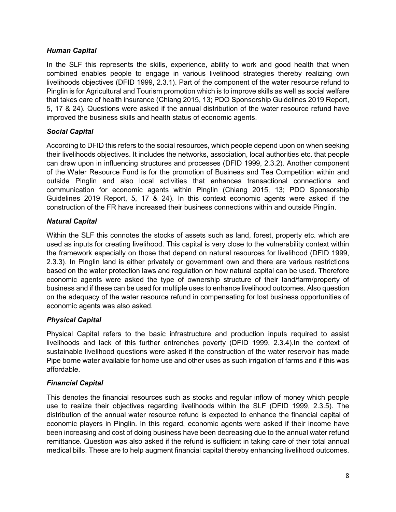# *Human Capital*

In the SLF this represents the skills, experience, ability to work and good health that when combined enables people to engage in various livelihood strategies thereby realizing own livelihoods objectives (DFID 1999, 2.3.1). Part of the component of the water resource refund to Pinglin is for Agricultural and Tourism promotion which is to improve skills as well as social welfare that takes care of health insurance (Chiang 2015, 13; PDO Sponsorship Guidelines 2019 Report, 5, 17 & 24). Questions were asked if the annual distribution of the water resource refund have improved the business skills and health status of economic agents.

# *Social Capital*

According to DFID this refers to the social resources, which people depend upon on when seeking their livelihoods objectives. It includes the networks, association, local authorities etc. that people can draw upon in influencing structures and processes (DFID 1999, 2.3.2). Another component of the Water Resource Fund is for the promotion of Business and Tea Competition within and outside Pinglin and also local activities that enhances transactional connections and communication for economic agents within Pinglin (Chiang 2015, 13; PDO Sponsorship Guidelines 2019 Report, 5, 17 & 24). In this context economic agents were asked if the construction of the FR have increased their business connections within and outside Pinglin.

# *Natural Capital*

Within the SLF this connotes the stocks of assets such as land, forest, property etc. which are used as inputs for creating livelihood. This capital is very close to the vulnerability context within the framework especially on those that depend on natural resources for livelihood (DFID 1999, 2.3.3). In Pinglin land is either privately or government own and there are various restrictions based on the water protection laws and regulation on how natural capital can be used. Therefore economic agents were asked the type of ownership structure of their land/farm/property of business and if these can be used for multiple uses to enhance livelihood outcomes. Also question on the adequacy of the water resource refund in compensating for lost business opportunities of economic agents was also asked.

# *Physical Capital*

Physical Capital refers to the basic infrastructure and production inputs required to assist livelihoods and lack of this further entrenches poverty (DFID 1999, 2.3.4).In the context of sustainable livelihood questions were asked if the construction of the water reservoir has made Pipe borne water available for home use and other uses as such irrigation of farms and if this was affordable.

# *Financial Capital*

This denotes the financial resources such as stocks and regular inflow of money which people use to realize their objectives regarding livelihoods within the SLF (DFID 1999, 2.3.5). The distribution of the annual water resource refund is expected to enhance the financial capital of economic players in Pinglin. In this regard, economic agents were asked if their income have been increasing and cost of doing business have been decreasing due to the annual water refund remittance. Question was also asked if the refund is sufficient in taking care of their total annual medical bills. These are to help augment financial capital thereby enhancing livelihood outcomes.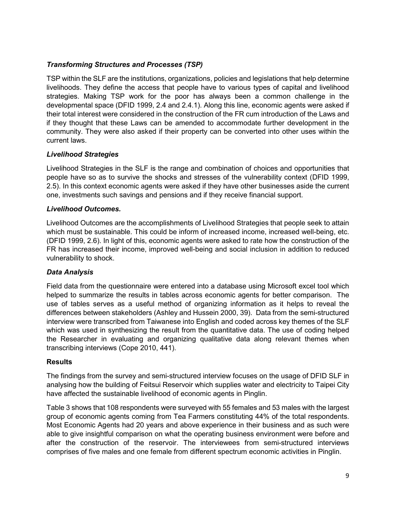## *Transforming Structures and Processes (TSP)*

TSP within the SLF are the institutions, organizations, policies and legislations that help determine livelihoods. They define the access that people have to various types of capital and livelihood strategies. Making TSP work for the poor has always been a common challenge in the developmental space (DFID 1999, 2.4 and 2.4.1). Along this line, economic agents were asked if their total interest were considered in the construction of the FR cum introduction of the Laws and if they thought that these Laws can be amended to accommodate further development in the community. They were also asked if their property can be converted into other uses within the current laws.

## *Livelihood Strategies*

Livelihood Strategies in the SLF is the range and combination of choices and opportunities that people have so as to survive the shocks and stresses of the vulnerability context (DFID 1999, 2.5). In this context economic agents were asked if they have other businesses aside the current one, investments such savings and pensions and if they receive financial support.

## *Livelihood Outcomes.*

Livelihood Outcomes are the accomplishments of Livelihood Strategies that people seek to attain which must be sustainable. This could be inform of increased income, increased well-being, etc. (DFID 1999, 2.6). In light of this, economic agents were asked to rate how the construction of the FR has increased their income, improved well-being and social inclusion in addition to reduced vulnerability to shock.

## *Data Analysis*

Field data from the questionnaire were entered into a database using Microsoft excel tool which helped to summarize the results in tables across economic agents for better comparison. The use of tables serves as a useful method of organizing information as it helps to reveal the differences between stakeholders (Ashley and Hussein 2000, 39). Data from the semi-structured interview were transcribed from Taiwanese into English and coded across key themes of the SLF which was used in synthesizing the result from the quantitative data. The use of coding helped the Researcher in evaluating and organizing qualitative data along relevant themes when transcribing interviews (Cope 2010, 441).

## **Results**

The findings from the survey and semi-structured interview focuses on the usage of DFID SLF in analysing how the building of Feitsui Reservoir which supplies water and electricity to Taipei City have affected the sustainable livelihood of economic agents in Pinglin.

Table 3 shows that 108 respondents were surveyed with 55 females and 53 males with the largest group of economic agents coming from Tea Farmers constituting 44% of the total respondents. Most Economic Agents had 20 years and above experience in their business and as such were able to give insightful comparison on what the operating business environment were before and after the construction of the reservoir. The interviewees from semi-structured interviews comprises of five males and one female from different spectrum economic activities in Pinglin.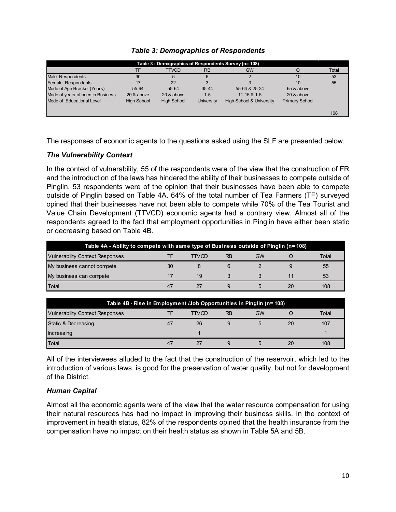| Table 3 - Demographics of Respondents Survey (n= 108) |                    |                    |            |                                     |                       |       |  |  |  |
|-------------------------------------------------------|--------------------|--------------------|------------|-------------------------------------|-----------------------|-------|--|--|--|
|                                                       | TF                 | <b>TTVCD</b>       | <b>RB</b>  | <b>GW</b>                           |                       | Total |  |  |  |
| Male Respondents                                      | 30                 | 5                  | 6          |                                     | 10                    | 53    |  |  |  |
| Female Respondents                                    | 17                 | 22                 |            |                                     | 10                    | 55    |  |  |  |
| Mode of Age Bracket (Years)                           | 55-64              | 55-64              | $35 - 44$  | 55-64 & 25-34                       | 65 & above            |       |  |  |  |
| Mode of years of been in Business                     | 20 & above         | 20 & above         | $1 - 5$    | $11 - 15 & 1 - 5$                   | 20 & above            |       |  |  |  |
| Mode of Educational Level                             | <b>High School</b> | <b>High School</b> | University | <b>High School &amp; University</b> | <b>Primary School</b> |       |  |  |  |
|                                                       |                    |                    |            |                                     |                       | 108   |  |  |  |

## *Table 3: Demographics of Respondents*

The responses of economic agents to the questions asked using the SLF are presented below.

## *The Vulnerability Context*

In the context of vulnerability, 55 of the respondents were of the view that the construction of FR and the introduction of the laws has hindered the ability of their businesses to compete outside of Pinglin. 53 respondents were of the opinion that their businesses have been able to compete outside of Pinglin based on Table 4A. 64% of the total number of Tea Farmers (TF) surveyed opined that their businesses have not been able to compete while 70% of the Tea Tourist and Value Chain Development (TTVCD) economic agents had a contrary view. Almost all of the respondents agreed to the fact that employment opportunities in Pinglin have either been static or decreasing based on Table 4B.

| Table 4A - Ability to compete with same type of Business outside of Pinglin (n= 108) |    |       |    |    |    |       |  |  |
|--------------------------------------------------------------------------------------|----|-------|----|----|----|-------|--|--|
| <b>Vulnerability Context Responses</b>                                               |    | TTVCD | RB | GW |    | Total |  |  |
| My business cannot compete                                                           | 30 |       |    |    |    | 55    |  |  |
| My business can compete                                                              |    | 19    |    |    |    | 53    |  |  |
| Total                                                                                | 47 |       |    |    | 20 | 108   |  |  |

| Table 4B - Rise in Employment / Job Opportunities in Pinglin (n= 108)       |    |    |   |   |    |     |  |  |
|-----------------------------------------------------------------------------|----|----|---|---|----|-----|--|--|
| <b>RB</b><br>GW<br>Total<br><b>Vulnerability Context Responses</b><br>TTVCD |    |    |   |   |    |     |  |  |
| Static & Decreasing                                                         | 47 | 26 |   |   | 20 | 107 |  |  |
| Increasing                                                                  |    |    |   |   |    |     |  |  |
| <b>Total</b>                                                                | 47 | 27 | 9 | 5 | 20 | 108 |  |  |

All of the interviewees alluded to the fact that the construction of the reservoir, which led to the introduction of various laws, is good for the preservation of water quality, but not for development of the District.

## *Human Capital*

Almost all the economic agents were of the view that the water resource compensation for using their natural resources has had no impact in improving their business skills. In the context of improvement in health status, 82% of the respondents opined that the health insurance from the compensation have no impact on their health status as shown in Table 5A and 5B.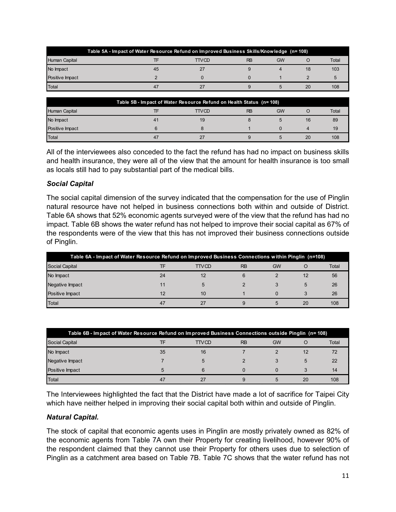|                 | Table 5A - Impact of Water Resource Refund on Improved Business Skills/Knowledge (n= 108) |       |           |    |    |       |  |  |
|-----------------|-------------------------------------------------------------------------------------------|-------|-----------|----|----|-------|--|--|
| Human Capital   |                                                                                           | TTVCD | <b>RB</b> | GW |    | Total |  |  |
| No Impact       | 45                                                                                        | 27    |           |    | 18 | 103   |  |  |
| Positive Impact |                                                                                           |       |           |    |    |       |  |  |
| <b>Total</b>    | 47                                                                                        | 27    |           | h. | 20 | 108   |  |  |

| Table 5B - Impact of Water Resource Refund on Health Status (n= 108) |    |              |           |           |    |       |  |  |
|----------------------------------------------------------------------|----|--------------|-----------|-----------|----|-------|--|--|
| Human Capital                                                        |    | <b>TTVCD</b> | <b>RB</b> | <b>GW</b> |    | Total |  |  |
| No Impact                                                            | 41 | 19           |           |           | 16 | 89    |  |  |
| Positive Impact                                                      |    |              |           |           |    | 19    |  |  |
| Total                                                                | 47 | 27           |           |           | 20 | 108   |  |  |

All of the interviewees also conceded to the fact the refund has had no impact on business skills and health insurance, they were all of the view that the amount for health insurance is too small as locals still had to pay substantial part of the medical bills.

## *Social Capital*

The social capital dimension of the survey indicated that the compensation for the use of Pinglin natural resource have not helped in business connections both within and outside of District. Table 6A shows that 52% economic agents surveyed were of the view that the refund has had no impact. Table 6B shows the water refund has not helped to improve their social capital as 67% of the respondents were of the view that this has not improved their business connections outside of Pinglin.

| Table 6A - Impact of Water Resource Refund on Improved Business Connections within Pinglin (n=108) |    |              |           |           |    |       |  |  |  |
|----------------------------------------------------------------------------------------------------|----|--------------|-----------|-----------|----|-------|--|--|--|
| <b>Social Capital</b>                                                                              |    | <b>TTVCD</b> | <b>RB</b> | <b>GW</b> |    | Total |  |  |  |
| No Impact                                                                                          | 24 | 12           |           |           | 12 | 56    |  |  |  |
| Negative Impact                                                                                    | 11 |              |           |           | 5  | 26    |  |  |  |
| Positive Impact                                                                                    | 12 | 10           |           |           |    | 26    |  |  |  |
| Total                                                                                              | 47 |              |           |           | 20 | 108   |  |  |  |

| Table 6B - Impact of Water Resource Refund on Improved Business Connections outside Pinglin (n= 108) |    |                |           |           |    |       |  |  |
|------------------------------------------------------------------------------------------------------|----|----------------|-----------|-----------|----|-------|--|--|
| Social Capital                                                                                       | TF | <b>TTVCD</b>   | <b>RB</b> | <b>GW</b> |    | Total |  |  |
| No Impact                                                                                            | 35 | 16             |           |           | 12 | 72    |  |  |
| Negative Impact                                                                                      |    | $\overline{5}$ |           |           | 5  | 22    |  |  |
| Positive Impact                                                                                      | 5  | 6              | $\Omega$  |           |    | 14    |  |  |
| Total                                                                                                | 47 | 27             | 9         | 5         | 20 | 108   |  |  |

The Interviewees highlighted the fact that the District have made a lot of sacrifice for Taipei City which have neither helped in improving their social capital both within and outside of Pinglin.

## *Natural Capital.*

The stock of capital that economic agents uses in Pinglin are mostly privately owned as 82% of the economic agents from Table 7A own their Property for creating livelihood, however 90% of the respondent claimed that they cannot use their Property for others uses due to selection of Pinglin as a catchment area based on Table 7B. Table 7C shows that the water refund has not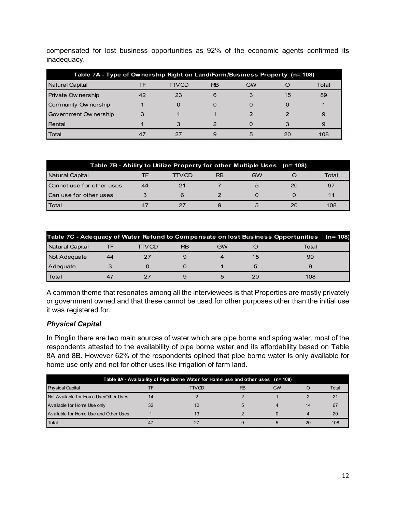compensated for lost business opportunities as 92% of the economic agents confirmed its inadequacy.

| Table 7A - Type of Ownership Right on Land/Farm/Business Property (n= 108) |    |       |           |           |    |       |  |  |
|----------------------------------------------------------------------------|----|-------|-----------|-----------|----|-------|--|--|
| <b>Natural Capital</b>                                                     | TF | TTVCD | <b>RB</b> | <b>GW</b> |    | Total |  |  |
| Private Ow nership                                                         | 42 | 23    | 6         |           | 15 | 89    |  |  |
| Community Ownership                                                        |    |       | $\Omega$  |           |    |       |  |  |
| Government Ow nership                                                      | 3  |       |           |           |    | 9     |  |  |
| Rental                                                                     |    |       |           |           |    |       |  |  |
| Total                                                                      | 47 |       |           | :5        |    | 108   |  |  |

|                           |    | Table 7B - Ability to Utilize Property for other Multiple Uses (n= 108) |    |    |    |       |
|---------------------------|----|-------------------------------------------------------------------------|----|----|----|-------|
| Natural Capital           | ΤF | TTVCD                                                                   | RB | GW |    | Total |
| Cannot use for other uses | 44 | 21                                                                      |    | 5  | 20 | 97    |
| Can use for other uses    |    |                                                                         |    |    |    |       |
| Total                     | 47 |                                                                         | 9  |    |    | 108   |

| Table 7C - Adequacy of Water Refund to Compensate on lost Business Opportunities |    |       |           |    |    |       | $(n=108)$ |
|----------------------------------------------------------------------------------|----|-------|-----------|----|----|-------|-----------|
| Natural Capital                                                                  |    | TTVCD | <b>RB</b> | GW |    | Total |           |
| Not Adequate                                                                     | 44 |       |           |    | 15 | 99    |           |
| Adequate                                                                         |    |       |           |    |    |       |           |
| Total                                                                            |    |       |           |    |    | 108   |           |

A common theme that resonates among all the interviewees is that Properties are mostly privately or government owned and that these cannot be used for other purposes other than the initial use it was registered for.

# *Physical Capital*

In Pinglin there are two main sources of water which are pipe borne and spring water, most of the respondents attested to the availability of pipe borne water and its affordability based on Table 8A and 8B. However 62% of the respondents opined that pipe borne water is only available for home use only and not for other uses like irrigation of farm land.

| Table 8A - Availability of Pipe Borne Water for Home use and other uses (n= 108) |    |       |           |           |    |       |  |  |  |
|----------------------------------------------------------------------------------|----|-------|-----------|-----------|----|-------|--|--|--|
| <b>Physical Capital</b>                                                          |    | TTVCD | <b>RB</b> | <b>GW</b> | O  | Total |  |  |  |
| Not Available for Home Use/Other Uses                                            | 14 |       |           |           |    | 21    |  |  |  |
| Available for Home Use only                                                      | 32 |       |           |           | 14 | 67    |  |  |  |
| Available for Home Use and Other Uses                                            |    | 13    |           |           |    | 20    |  |  |  |
| <b>Total</b>                                                                     |    |       |           |           | 20 | 108   |  |  |  |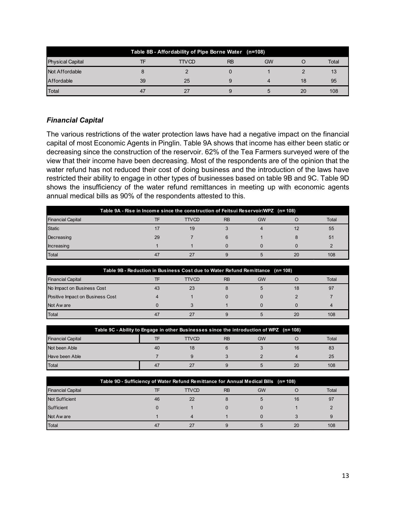| Table 8B - Affordability of Pipe Borne Water (n=108) |    |              |           |           |    |       |  |  |  |
|------------------------------------------------------|----|--------------|-----------|-----------|----|-------|--|--|--|
| <b>Physical Capital</b>                              |    | <b>TTVCD</b> | <b>RB</b> | <b>GW</b> |    | Total |  |  |  |
| Not Affordable                                       |    |              |           |           |    | 13    |  |  |  |
| Affordable                                           | 39 | 25           |           |           | 18 | 95    |  |  |  |
| Total                                                |    | 27           |           |           | 20 | 108   |  |  |  |

# *Financial Capital*

The various restrictions of the water protection laws have had a negative impact on the financial capital of most Economic Agents in Pinglin. Table 9A shows that income has either been static or decreasing since the construction of the reservoir. 62% of the Tea Farmers surveyed were of the view that their income have been decreasing. Most of the respondents are of the opinion that the water refund has not reduced their cost of doing business and the introduction of the laws have restricted their ability to engage in other types of businesses based on table 9B and 9C. Table 9D shows the insufficiency of the water refund remittances in meeting up with economic agents annual medical bills as 90% of the respondents attested to this.

| Table 9A - Rise in Income since the construction of Feitsui Reservoir/WPZ (n= 108) |    |              |           |           |    |       |  |  |
|------------------------------------------------------------------------------------|----|--------------|-----------|-----------|----|-------|--|--|
| <b>Financial Capital</b>                                                           | ТF | <b>TTVCD</b> | <b>RB</b> | <b>GW</b> |    | Total |  |  |
| <b>Static</b>                                                                      |    | 19           |           |           |    | 55    |  |  |
| Decreasing                                                                         | 29 |              |           |           |    | 51    |  |  |
| <b>Increasing</b>                                                                  |    |              |           |           |    |       |  |  |
| Total                                                                              | 47 |              |           |           | 20 | 108   |  |  |

| Table 9B - Reduction in Business Cost due to Water Refund Remittance (n= 108) |    |              |           |           |    |       |  |  |
|-------------------------------------------------------------------------------|----|--------------|-----------|-----------|----|-------|--|--|
| <b>Financial Capital</b>                                                      |    | <b>TTVCD</b> | <b>RB</b> | <b>GW</b> |    | Total |  |  |
| No Impact on Business Cost                                                    | 43 | 23           |           |           | 18 | 97    |  |  |
| Positive Impact on Business Cost                                              |    |              |           |           |    |       |  |  |
| Not Aw are                                                                    |    |              |           |           |    |       |  |  |
| Total                                                                         | 47 |              |           |           |    | 108   |  |  |

| Table 9C - Ability to Engage in other Businesses since the introduction of WPZ (n= 108) |    |              |           |           |    |       |  |  |
|-----------------------------------------------------------------------------------------|----|--------------|-----------|-----------|----|-------|--|--|
| <b>Financial Capital</b>                                                                |    | <b>TTVCD</b> | <b>RB</b> | <b>GW</b> |    | Total |  |  |
| Not been Able                                                                           | 40 | 18           |           |           | 16 | 83    |  |  |
| Have been Able                                                                          |    |              |           |           |    | 25    |  |  |
| <b>Total</b>                                                                            | 47 |              |           |           | 20 | 108   |  |  |

| Table 9D - Sufficiency of Water Refund Remittance for Annual Medical Bills (n= 108) |    |              |           |           |    |       |  |  |
|-------------------------------------------------------------------------------------|----|--------------|-----------|-----------|----|-------|--|--|
| <b>Financial Capital</b>                                                            | TF | <b>TTVCD</b> | <b>RB</b> | <b>GW</b> |    | Total |  |  |
| <b>Not Sufficient</b>                                                               | 46 | 22           | 8         |           | 16 | 97    |  |  |
| Sufficient                                                                          |    |              |           |           |    |       |  |  |
| Not Aw are                                                                          |    | Δ            |           |           |    |       |  |  |
| Total                                                                               | 47 |              |           |           | 20 | 108   |  |  |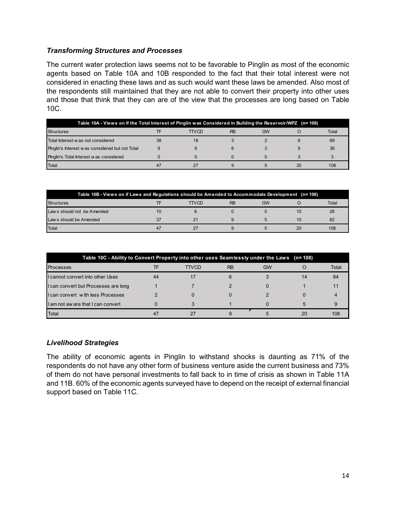## *Transforming Structures and Processes*

The current water protection laws seems not to be favorable to Pinglin as most of the economic agents based on Table 10A and 10B responded to the fact that their total interest were not considered in enacting these laws and as such would want these laws be amended. Also most of the respondents still maintained that they are not able to convert their property into other uses and those that think that they can are of the view that the processes are long based on Table 10C.

| Table 10A - Views on If the Total Interest of Pinglin was Considered in Building the Reservoir/WPZ (n= 108) |    |       |           |           |    |       |  |  |
|-------------------------------------------------------------------------------------------------------------|----|-------|-----------|-----------|----|-------|--|--|
| <b>Structures</b>                                                                                           |    | TTVCD | <b>RB</b> | <b>GW</b> |    | Total |  |  |
| Total Interest w as not considered                                                                          | 38 | 18    |           |           |    | 69    |  |  |
| Pinglin's Interest was considered but not Total                                                             |    |       |           |           |    | 36    |  |  |
| Pinglin's Total Interest w as considered                                                                    |    |       |           |           |    |       |  |  |
| Total                                                                                                       |    |       |           |           | 20 | 108   |  |  |

| Table 10B - Views on if Laws and Regulations should be Amended to Accommodate Development (n= 108) |  |       |           |           |    |       |  |
|----------------------------------------------------------------------------------------------------|--|-------|-----------|-----------|----|-------|--|
| <b>Structures</b>                                                                                  |  | TTVCD | <b>RB</b> | <b>GW</b> |    | Total |  |
| Law s should not be Amended                                                                        |  |       |           |           |    | 26    |  |
| Law s should be Amended                                                                            |  |       |           |           | 10 | 82    |  |
| Total                                                                                              |  |       |           |           | 20 | 108   |  |

| Table 10C - Ability to Convert Property into other uses Seamlessly under the Laws (n= 108) |    |              |           |    |    |       |  |  |
|--------------------------------------------------------------------------------------------|----|--------------|-----------|----|----|-------|--|--|
| <b>Processes</b>                                                                           |    | <b>TTVCD</b> | <b>RB</b> | GW |    | Total |  |  |
| I cannot convert into other Uses                                                           | 44 |              |           |    | 14 | 84    |  |  |
| I can convert but Processes are long                                                       |    |              |           |    |    |       |  |  |
| <b>I can convert with less Processes</b>                                                   |    |              |           |    |    |       |  |  |
| I am not aw are that I can convert                                                         |    |              |           |    |    |       |  |  |
| Total                                                                                      |    |              |           |    | 20 | 108   |  |  |

## *Livelihood Strategies*

The ability of economic agents in Pinglin to withstand shocks is daunting as 71% of the respondents do not have any other form of business venture aside the current business and 73% of them do not have personal investments to fall back to in time of crisis as shown in Table 11A and 11B. 60% of the economic agents surveyed have to depend on the receipt of external financial support based on Table 11C.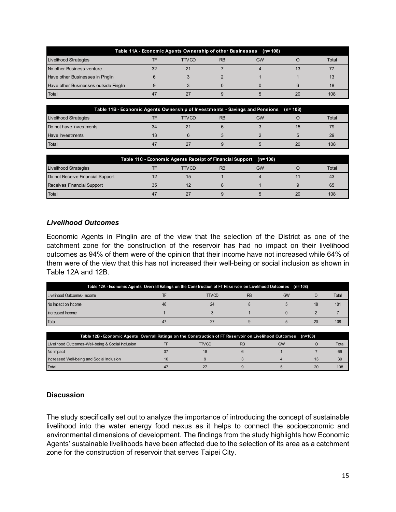| Table 11A - Economic Agents Ownership of other Businesses (n= 108) |    |       |           |           |    |       |  |  |
|--------------------------------------------------------------------|----|-------|-----------|-----------|----|-------|--|--|
| Livelihood Strategies                                              |    | TTVCD | <b>RB</b> | <b>GW</b> |    | Total |  |  |
| No other Business venture                                          | 32 | 21    |           |           | 13 |       |  |  |
| Have other Businesses in Pinglin                                   | 6  |       |           |           |    | 13    |  |  |
| Have other Businesses outside Pinglin                              | g  |       |           |           |    | 18    |  |  |
| Total                                                              | 47 |       |           |           | 20 | 108   |  |  |

| Table 11B - Economic Agents Ownership of Investments - Savings and Pensions (n=108) |    |              |           |           |    |       |
|-------------------------------------------------------------------------------------|----|--------------|-----------|-----------|----|-------|
| Livelihood Strategies                                                               |    | <b>TTVCD</b> | <b>RB</b> | <b>GW</b> |    | Total |
| Do not have Investments                                                             | 34 |              |           |           | 15 | 79    |
| Have Investments                                                                    | 13 |              |           |           |    | 29    |
| Total                                                                               | 47 |              |           |           | 20 | 108   |

|                                  | Table 11C - Economic Agents Receipt of Financial Support (n= 108) |              |           |           |    |       |
|----------------------------------|-------------------------------------------------------------------|--------------|-----------|-----------|----|-------|
| Livelihood Strategies            |                                                                   | <b>TTVCD</b> | <b>RB</b> | <b>GW</b> |    | Total |
| Do not Receive Financial Support |                                                                   |              |           |           |    | 43    |
| Receives Financial Support       | 35                                                                |              |           |           |    | 65    |
| <b>Total</b>                     | 47                                                                |              |           |           | 20 | 108   |

## *Livelihood Outcomes*

Economic Agents in Pinglin are of the view that the selection of the District as one of the catchment zone for the construction of the reservoir has had no impact on their livelihood outcomes as 94% of them were of the opinion that their income have not increased while 64% of them were of the view that this has not increased their well-being or social inclusion as shown in Table 12A and 12B.

| (17able 12A - Economic Agents Overrall Ratings on the Construction of FT Reservoir on Livelihood Outcomes (n=108) |    |              |           |           |    |       |
|-------------------------------------------------------------------------------------------------------------------|----|--------------|-----------|-----------|----|-------|
| Livelihood Outcomes- Income                                                                                       |    | <b>TTVCD</b> | <b>RB</b> | <b>GW</b> |    | Total |
| No Impact on Income                                                                                               | 46 |              |           |           | 18 | 101   |
| Increased Income                                                                                                  |    |              |           |           |    |       |
| Total                                                                                                             |    |              |           |           | 20 | 108   |

| Table 12B - Economic Agents Overrall Ratings on the Construction of FT Reservoir on Livelihood Outcomes |       |           |    | (n=108) |       |
|---------------------------------------------------------------------------------------------------------|-------|-----------|----|---------|-------|
| Livelihood Outcomes-Well-being & Social Inclusion                                                       | TTVCD | <b>RB</b> | GW |         | Total |
| No Impact                                                                                               |       |           |    |         | 69    |
| Increased Well-being and Social Inclusion                                                               |       |           |    |         | 39    |
| Total                                                                                                   |       |           |    | 20      | 108   |

# **Discussion**

The study specifically set out to analyze the importance of introducing the concept of sustainable livelihood into the water energy food nexus as it helps to connect the socioeconomic and environmental dimensions of development. The findings from the study highlights how Economic Agents' sustainable livelihoods have been affected due to the selection of its area as a catchment zone for the construction of reservoir that serves Taipei City.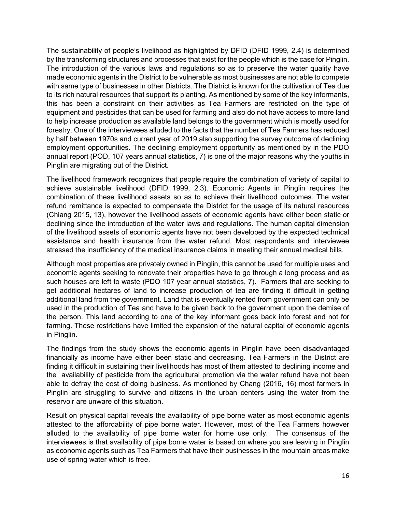The sustainability of people's livelihood as highlighted by DFID (DFID 1999, 2.4) is determined by the transforming structures and processes that exist for the people which is the case for Pinglin. The introduction of the various laws and regulations so as to preserve the water quality have made economic agents in the District to be vulnerable as most businesses are not able to compete with same type of businesses in other Districts. The District is known for the cultivation of Tea due to its rich natural resources that support its planting. As mentioned by some of the key informants, this has been a constraint on their activities as Tea Farmers are restricted on the type of equipment and pesticides that can be used for farming and also do not have access to more land to help increase production as available land belongs to the government which is mostly used for forestry. One of the interviewees alluded to the facts that the number of Tea Farmers has reduced by half between 1970s and current year of 2019 also supporting the survey outcome of declining employment opportunities. The declining employment opportunity as mentioned by in the PDO annual report (POD, 107 years annual statistics, 7) is one of the major reasons why the youths in Pinglin are migrating out of the District.

The livelihood framework recognizes that people require the combination of variety of capital to achieve sustainable livelihood (DFID 1999, 2.3). Economic Agents in Pinglin requires the combination of these livelihood assets so as to achieve their livelihood outcomes. The water refund remittance is expected to compensate the District for the usage of its natural resources (Chiang 2015, 13), however the livelihood assets of economic agents have either been static or declining since the introduction of the water laws and regulations. The human capital dimension of the livelihood assets of economic agents have not been developed by the expected technical assistance and health insurance from the water refund. Most respondents and interviewee stressed the insufficiency of the medical insurance claims in meeting their annual medical bills.

Although most properties are privately owned in Pinglin, this cannot be used for multiple uses and economic agents seeking to renovate their properties have to go through a long process and as such houses are left to waste (PDO 107 year annual statistics, 7). Farmers that are seeking to get additional hectares of land to increase production of tea are finding it difficult in getting additional land from the government. Land that is eventually rented from government can only be used in the production of Tea and have to be given back to the government upon the demise of the person. This land according to one of the key informant goes back into forest and not for farming. These restrictions have limited the expansion of the natural capital of economic agents in Pinglin.

The findings from the study shows the economic agents in Pinglin have been disadvantaged financially as income have either been static and decreasing. Tea Farmers in the District are finding it difficult in sustaining their livelihoods has most of them attested to declining income and the availability of pesticide from the agricultural promotion via the water refund have not been able to defray the cost of doing business. As mentioned by Chang (2016, 16) most farmers in Pinglin are struggling to survive and citizens in the urban centers using the water from the reservoir are unware of this situation.

Result on physical capital reveals the availability of pipe borne water as most economic agents attested to the affordability of pipe borne water. However, most of the Tea Farmers however alluded to the availability of pipe borne water for home use only. The consensus of the interviewees is that availability of pipe borne water is based on where you are leaving in Pinglin as economic agents such as Tea Farmers that have their businesses in the mountain areas make use of spring water which is free.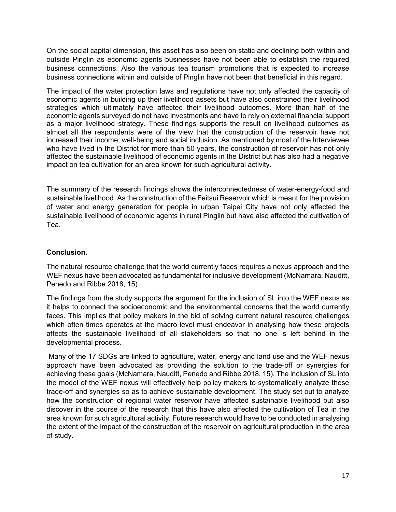On the social capital dimension, this asset has also been on static and declining both within and outside Pinglin as economic agents businesses have not been able to establish the required business connections. Also the various tea tourism promotions that is expected to increase business connections within and outside of Pinglin have not been that beneficial in this regard.

The impact of the water protection laws and regulations have not only affected the capacity of economic agents in building up their livelihood assets but have also constrained their livelihood strategies which ultimately have affected their livelihood outcomes. More than half of the economic agents surveyed do not have investments and have to rely on external financial support as a major livelihood strategy. These findings supports the result on livelihood outcomes as almost all the respondents were of the view that the construction of the reservoir have not increased their income, well-being and social inclusion. As mentioned by most of the Interviewee who have lived in the District for more than 50 years, the construction of reservoir has not only affected the sustainable livelihood of economic agents in the District but has also had a negative impact on tea cultivation for an area known for such agricultural activity.

The summary of the research findings shows the interconnectedness of water-energy-food and sustainable livelihood. As the construction of the Feitsui Reservoir which is meant for the provision of water and energy generation for people in urban Taipei City have not only affected the sustainable livelihood of economic agents in rural Pinglin but have also affected the cultivation of Tea.

## **Conclusion.**

The natural resource challenge that the world currently faces requires a nexus approach and the WEF nexus have been advocated as fundamental for inclusive development (McNamara, Nauditt, Penedo and Ribbe 2018, 15).

The findings from the study supports the argument for the inclusion of SL into the WEF nexus as it helps to connect the socioeconomic and the environmental concerns that the world currently faces. This implies that policy makers in the bid of solving current natural resource challenges which often times operates at the macro level must endeavor in analysing how these projects affects the sustainable livelihood of all stakeholders so that no one is left behind in the developmental process.

 Many of the 17 SDGs are linked to agriculture, water, energy and land use and the WEF nexus approach have been advocated as providing the solution to the trade-off or synergies for achieving these goals (McNamara, Nauditt, Penedo and Ribbe 2018, 15). The inclusion of SL into the model of the WEF nexus will effectively help policy makers to systematically analyze these trade-off and synergies so as to achieve sustainable development. The study set out to analyze how the construction of regional water reservoir have affected sustainable livelihood but also discover in the course of the research that this have also affected the cultivation of Tea in the area known for such agricultural activity. Future research would have to be conducted in analysing the extent of the impact of the construction of the reservoir on agricultural production in the area of study.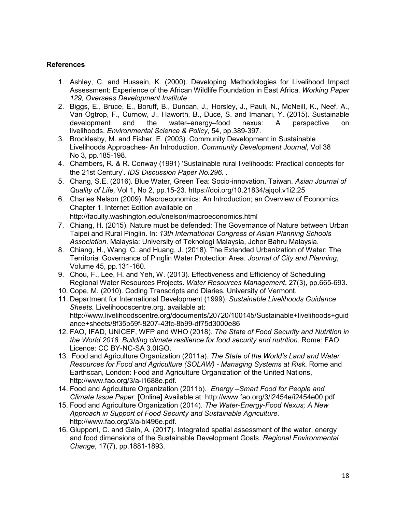## **References**

- 1. Ashley, C. and Hussein, K. (2000). Developing Methodologies for Livelihood Impact Assessment: Experience of the African Wildlife Foundation in East Africa. *Working Paper 129, Overseas Development Institute*
- 2. Biggs, E., Bruce, E., Boruff, B., Duncan, J., Horsley, J., Pauli, N., McNeill, K., Neef, A., Van Ogtrop, F., Curnow, J., Haworth, B., Duce, S. and Imanari, Y. (2015). Sustainable development and the water–energy–food nexus: A perspective on livelihoods. *Environmental Science & Policy*, 54, pp.389-397.
- 3. Brocklesby, M. and Fisher, E. (2003). Community Development in Sustainable Livelihoods Approaches- An Introduction. *Community Development Journal*, Vol 38 No 3, pp.185-198.
- 4. Chambers, R. & R. Conway (1991) 'Sustainable rural livelihoods: Practical concepts for the 21st Century'. *IDS Discussion Paper No.296. .*
- 5. Chang, S.E. (2016). Blue Water, Green Tea: Socio-innovation, Taiwan. *Asian Journal of Quality of Life,* Vol 1, No 2, pp.15-23. https://doi.org/10.21834/ajqol.v1i2.25
- 6. Charles Nelson (2009). Macroeconomics: An Introduction; an Overview of Economics Chapter 1. Internet Edition available on

http://faculty.washington.edu/cnelson/macroeconomics.html

- 7. Chiang, H. (2015). Nature must be defended: The Governance of Nature between Urban Taipei and Rural Pinglin. In: *13th International Congress of Asian Planning Schools Association*. Malaysia: University of Teknologi Malaysia, Johor Bahru Malaysia.
- 8. Chiang, H., Wang, C. and Huang, J. (2018). The Extended Urbanization of Water: The Territorial Governance of Pinglin Water Protection Area. *Journal of City and Planning*, Volume 45, pp.131-160.
- 9. Chou, F., Lee, H. and Yeh, W. (2013). Effectiveness and Efficiency of Scheduling Regional Water Resources Projects. *Water Resources Management*, 27(3), pp.665-693.
- 10. Cope, M. (2010). Coding Transcripts and Diaries. University of Vermont.
- 11. Department for International Development (1999). *Sustainable Livelihoods Guidance Sheets.* Livelihoodscentre.org. available at: http://www.livelihoodscentre.org/documents/20720/100145/Sustainable+livelihoods+guid ance+sheets/8f35b59f-8207-43fc-8b99-df75d3000e86
- 12. FAO, IFAD, UNICEF, WFP and WHO (2018). *The State of Food Security and Nutrition in the World 2018. Building climate resilience for food security and nutrition*. Rome: FAO. Licence: CC BY-NC-SA 3.0IGO.
- 13. Food and Agriculture Organization (2011a). *The State of the World's Land and Water Resources for Food and Agriculture (SOLAW) - Managing Systems at Risk*. Rome and Earthscan, London: Food and Agriculture Organization of the United Nations, http://www.fao.org/3/a-i1688e.pdf.
- 14. Food and Agriculture Organization (2011b). *Energy –Smart Food for People and Climate Issue Paper*. [Online] Available at: http://www.fao.org/3/i2454e/i2454e00.pdf
- 15. Food and Agriculture Organization (2014). *The Water-Energy-Food Nexus; A New Approach in Support of Food Security and Sustainable Agriculture.*  http://www.fao.org/3/a-bl496e.pdf.
- 16. Giupponi, C. and Gain, A. (2017). Integrated spatial assessment of the water, energy and food dimensions of the Sustainable Development Goals. *Regional Environmental Change*, 17(7), pp.1881-1893.